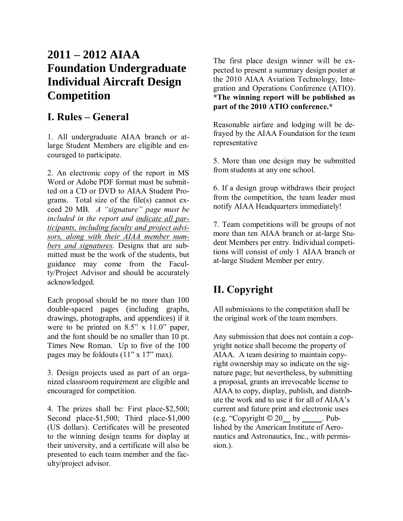# **2011 – 2012 AIAA Foundation Undergraduate Individual Aircraft Design Competition**

## **I. Rules – General**

1. All undergraduate AIAA branch or atlarge Student Members are eligible and encouraged to participate.

2. An electronic copy of the report in MS Word or Adobe PDF format must be submitted on a CD or DVD to AIAA Student Programs. Total size of the file(s) cannot exceed 20 MB. *A "signature" page must be included in the report and indicate all participants, including faculty and project advisors, along with their AIAA member numbers and signatures.* Designs that are submitted must be the work of the students, but guidance may come from the Faculty/Project Advisor and should be accurately acknowledged.

Each proposal should be no more than 100 double-spaced pages (including graphs, drawings, photographs, and appendices) if it were to be printed on 8.5" x 11.0" paper, and the font should be no smaller than 10 pt. Times New Roman. Up to five of the 100 pages may be foldouts (11" x 17" max).

3. Design projects used as part of an organized classroom requirement are eligible and encouraged for competition*.*

4. The prizes shall be: First place-\$2,500; Second place-\$1,500; Third place-\$1,000 (US dollars). Certificates will be presented to the winning design teams for display at their university, and a certificate will also be presented to each team member and the faculty/project advisor.

The first place design winner will be expected to present a summary design poster at the 2010 AIAA Aviation Technology, Integration and Operations Conference (ATIO). **\*The winning report will be published as part of the 2010 ATIO conference.\***

Reasonable airfare and lodging will be defrayed by the AIAA Foundation for the team representative

5. More than one design may be submitted from students at any one school.

6. If a design group withdraws their project from the competition, the team leader must notify AIAA Headquarters immediately!

7. Team competitions will be groups of not more than ten AIAA branch or at-large Student Members per entry. Individual competitions will consist of only 1 AIAA branch or at-large Student Member per entry.

# **II. Copyright**

All submissions to the competition shall be the original work of the team members.

Any submission that does not contain a copyright notice shall become the property of AIAA. A team desiring to maintain copyright ownership may so indicate on the signature page; but nevertheless, by submitting a proposal, grants an irrevocable license to AIAA to copy, display, publish, and distribute the work and to use it for all of AIAA's current and future print and electronic uses  $(e.g. "Copyright © 20$  by \_\_\_\_\_. Published by the American Institute of Aeronautics and Astronautics, Inc., with permission.).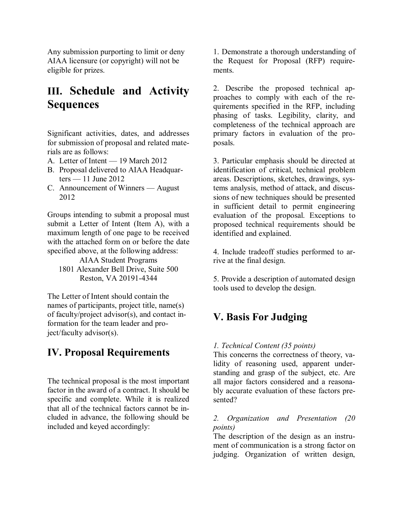Any submission purporting to limit or deny AIAA licensure (or copyright) will not be eligible for prizes.

# **III. Schedule and Activity Sequences**

Significant activities, dates, and addresses for submission of proposal and related materials are as follows:

- A. Letter of Intent 19 March 2012
- B. Proposal delivered to AIAA Headquarters — 11 June 2012
- C. Announcement of Winners August 2012

Groups intending to submit a proposal must submit a Letter of Intent (Item A), with a maximum length of one page to be received with the attached form on or before the date specified above, at the following address:

AIAA Student Programs 1801 Alexander Bell Drive, Suite 500 Reston, VA 20191-4344

The Letter of Intent should contain the names of participants, project title, name(s) of faculty/project advisor(s), and contact information for the team leader and project/faculty advisor(s).

## **IV. Proposal Requirements**

The technical proposal is the most important factor in the award of a contract. It should be specific and complete. While it is realized that all of the technical factors cannot be included in advance, the following should be included and keyed accordingly:

1. Demonstrate a thorough understanding of the Request for Proposal (RFP) requirements.

2. Describe the proposed technical approaches to comply with each of the requirements specified in the RFP, including phasing of tasks. Legibility, clarity, and completeness of the technical approach are primary factors in evaluation of the proposals.

3. Particular emphasis should be directed at identification of critical, technical problem areas. Descriptions, sketches, drawings, systems analysis, method of attack, and discussions of new techniques should be presented in sufficient detail to permit engineering evaluation of the proposal. Exceptions to proposed technical requirements should be identified and explained.

4. Include tradeoff studies performed to arrive at the final design.

5. Provide a description of automated design tools used to develop the design.

## **V. Basis For Judging**

### *1. Technical Content (35 points)*

This concerns the correctness of theory, validity of reasoning used, apparent understanding and grasp of the subject, etc. Are all major factors considered and a reasonably accurate evaluation of these factors presented?

### *2. Organization and Presentation (20 points)*

The description of the design as an instrument of communication is a strong factor on judging. Organization of written design,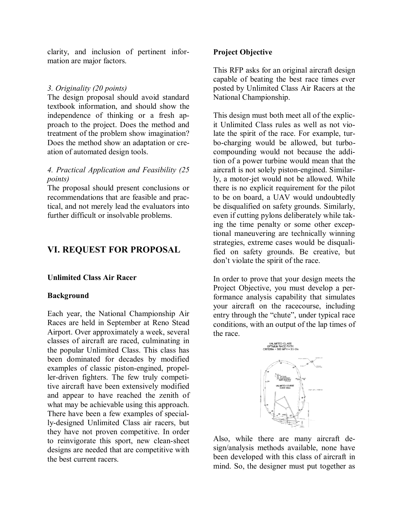clarity, and inclusion of pertinent information are major factors.

#### *3. Originality (20 points)*

The design proposal should avoid standard textbook information, and should show the independence of thinking or a fresh approach to the project. Does the method and treatment of the problem show imagination? Does the method show an adaptation or creation of automated design tools.

### *4. Practical Application and Feasibility (25 points)*

The proposal should present conclusions or recommendations that are feasible and practical, and not merely lead the evaluators into further difficult or insolvable problems.

## **VI. REQUEST FOR PROPOSAL**

#### **Unlimited Class Air Racer**

#### **Background**

Each year, the National Championship Air Races are held in September at Reno Stead Airport. Over approximately a week, several classes of aircraft are raced, culminating in the popular Unlimited Class. This class has been dominated for decades by modified examples of classic piston-engined, propeller-driven fighters. The few truly competitive aircraft have been extensively modified and appear to have reached the zenith of what may be achievable using this approach. There have been a few examples of specially-designed Unlimited Class air racers, but they have not proven competitive. In order to reinvigorate this sport, new clean-sheet designs are needed that are competitive with the best current racers.

### **Project Objective**

This RFP asks for an original aircraft design capable of beating the best race times ever posted by Unlimited Class Air Racers at the National Championship.

This design must both meet all of the explicit Unlimited Class rules as well as not violate the spirit of the race. For example, turbo-charging would be allowed, but turbocompounding would not because the addition of a power turbine would mean that the aircraft is not solely piston-engined. Similarly, a motor-jet would not be allowed. While there is no explicit requirement for the pilot to be on board, a UAV would undoubtedly be disqualified on safety grounds. Similarly, even if cutting pylons deliberately while taking the time penalty or some other exceptional maneuvering are technically winning strategies, extreme cases would be disqualified on safety grounds. Be creative, but don't violate the spirit of the race.

In order to prove that your design meets the Project Objective, you must develop a performance analysis capability that simulates your aircraft on the racecourse, including entry through the "chute", under typical race conditions, with an output of the lap times of the race.



Also, while there are many aircraft design/analysis methods available, none have been developed with this class of aircraft in mind. So, the designer must put together as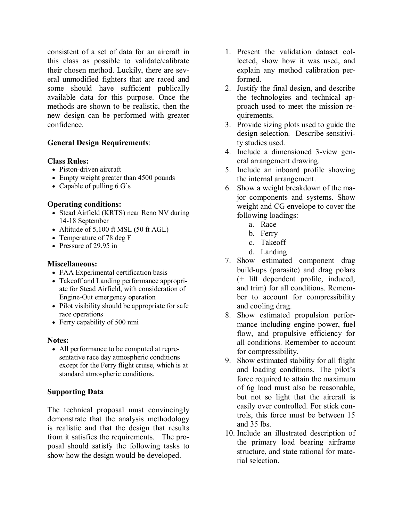consistent of a set of data for an aircraft in this class as possible to validate/calibrate their chosen method. Luckily, there are several unmodified fighters that are raced and some should have sufficient publically available data for this purpose. Once the methods are shown to be realistic, then the new design can be performed with greater confidence.

### **General Design Requirements**:

#### **Class Rules:**

- Piston-driven aircraft
- Empty weight greater than 4500 pounds
- Capable of pulling 6 G's

#### **Operating conditions:**

- Stead Airfield (KRTS) near Reno NV during 14-18 September
- Altitude of 5,100 ft MSL (50 ft AGL)
- Temperature of 78 deg F
- Pressure of 29.95 in

#### **Miscellaneous:**

- FAA Experimental certification basis
- Takeoff and Landing performance appropriate for Stead Airfield, with consideration of Engine-Out emergency operation
- Pilot visibility should be appropriate for safe race operations
- Ferry capability of 500 nmi

#### **Notes:**

 All performance to be computed at representative race day atmospheric conditions except for the Ferry flight cruise, which is at standard atmospheric conditions.

#### **Supporting Data**

The technical proposal must convincingly demonstrate that the analysis methodology is realistic and that the design that results from it satisfies the requirements. The proposal should satisfy the following tasks to show how the design would be developed.

- 1. Present the validation dataset collected, show how it was used, and explain any method calibration performed.
- 2. Justify the final design, and describe the technologies and technical approach used to meet the mission requirements.
- 3. Provide sizing plots used to guide the design selection. Describe sensitivity studies used.
- 4. Include a dimensioned 3-view general arrangement drawing.
- 5. Include an inboard profile showing the internal arrangement.
- 6. Show a weight breakdown of the major components and systems. Show weight and CG envelope to cover the following loadings:
	- a. Race
	- b. Ferry
	- c. Takeoff
	- d. Landing
- 7. Show estimated component drag build-ups (parasite) and drag polars (+ lift dependent profile, induced, and trim) for all conditions. Remember to account for compressibility and cooling drag.
- 8. Show estimated propulsion performance including engine power, fuel flow, and propulsive efficiency for all conditions. Remember to account for compressibility.
- 9. Show estimated stability for all flight and loading conditions. The pilot's force required to attain the maximum of 6g load must also be reasonable, but not so light that the aircraft is easily over controlled. For stick controls, this force must be between 15 and 35 lbs.
- 10. Include an illustrated description of the primary load bearing airframe structure, and state rational for material selection.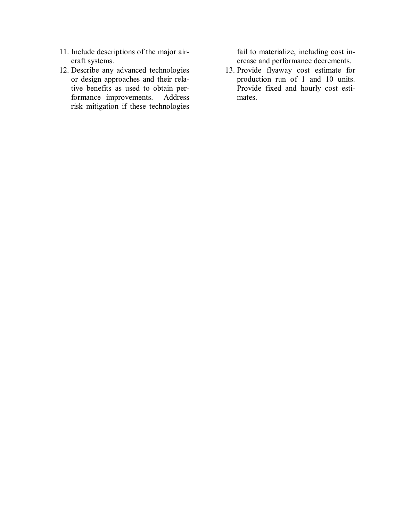- 11. Include descriptions of the major aircraft systems.
- 12. Describe any advanced technologies or design approaches and their relative benefits as used to obtain performance improvements. Address risk mitigation if these technologies

fail to materialize, including cost increase and performance decrements.

13. Provide flyaway cost estimate for production run of 1 and 10 units. Provide fixed and hourly cost estimates.